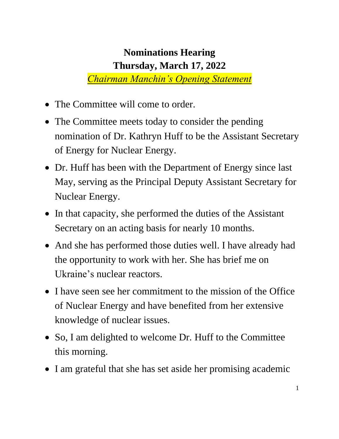## **Nominations Hearing Thursday, March 17, 2022** *Chairman Manchin's Opening Statement*

• The Committee will come to order.

- The Committee meets today to consider the pending nomination of Dr. Kathryn Huff to be the Assistant Secretary of Energy for Nuclear Energy.
- Dr. Huff has been with the Department of Energy since last May, serving as the Principal Deputy Assistant Secretary for Nuclear Energy.
- In that capacity, she performed the duties of the Assistant Secretary on an acting basis for nearly 10 months.
- And she has performed those duties well. I have already had the opportunity to work with her. She has brief me on Ukraine's nuclear reactors.
- I have seen see her commitment to the mission of the Office of Nuclear Energy and have benefited from her extensive knowledge of nuclear issues.
- So, I am delighted to welcome Dr. Huff to the Committee this morning.
- I am grateful that she has set aside her promising academic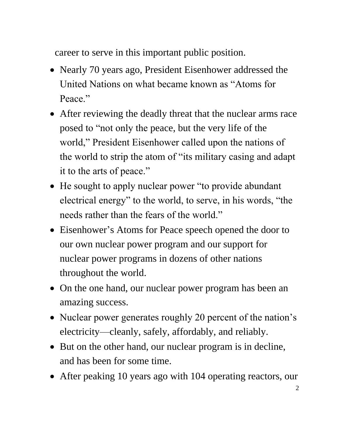career to serve in this important public position.

- Nearly 70 years ago, President Eisenhower addressed the United Nations on what became known as "Atoms for Peace."
- After reviewing the deadly threat that the nuclear arms race posed to "not only the peace, but the very life of the world," President Eisenhower called upon the nations of the world to strip the atom of "its military casing and adapt it to the arts of peace."
- He sought to apply nuclear power "to provide abundant" electrical energy" to the world, to serve, in his words, "the needs rather than the fears of the world."
- Eisenhower's Atoms for Peace speech opened the door to our own nuclear power program and our support for nuclear power programs in dozens of other nations throughout the world.
- On the one hand, our nuclear power program has been an amazing success.
- Nuclear power generates roughly 20 percent of the nation's electricity—cleanly, safely, affordably, and reliably.
- But on the other hand, our nuclear program is in decline, and has been for some time.
- After peaking 10 years ago with 104 operating reactors, our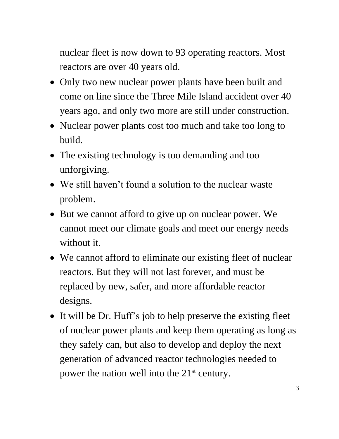nuclear fleet is now down to 93 operating reactors. Most reactors are over 40 years old.

- Only two new nuclear power plants have been built and come on line since the Three Mile Island accident over 40 years ago, and only two more are still under construction.
- Nuclear power plants cost too much and take too long to build.
- The existing technology is too demanding and too unforgiving.
- We still haven't found a solution to the nuclear waste problem.
- But we cannot afford to give up on nuclear power. We cannot meet our climate goals and meet our energy needs without it.
- We cannot afford to eliminate our existing fleet of nuclear reactors. But they will not last forever, and must be replaced by new, safer, and more affordable reactor designs.
- It will be Dr. Huff's job to help preserve the existing fleet of nuclear power plants and keep them operating as long as they safely can, but also to develop and deploy the next generation of advanced reactor technologies needed to power the nation well into the 21<sup>st</sup> century.